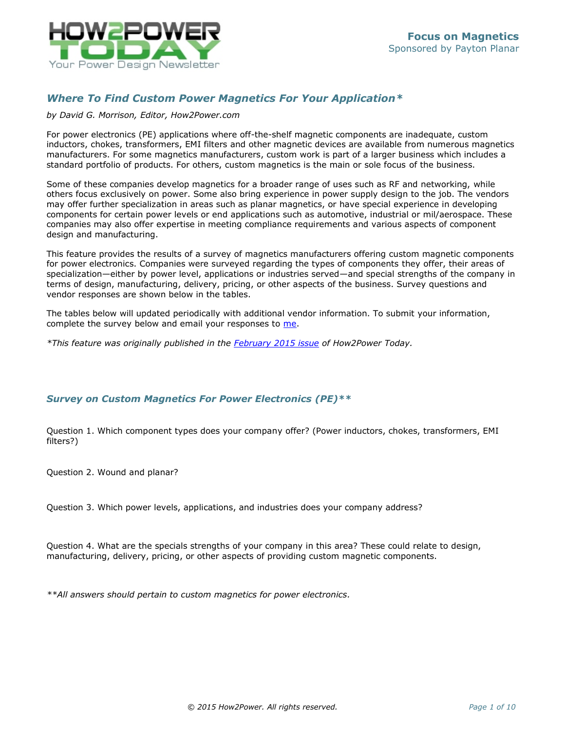

# *Where To Find Custom Power Magnetics For Your Application\**

#### *by David G. Morrison, Editor, How2Power.com*

For power electronics (PE) applications where off-the-shelf magnetic components are inadequate, custom inductors, chokes, transformers, EMI filters and other magnetic devices are available from numerous magnetics manufacturers. For some magnetics manufacturers, custom work is part of a larger business which includes a standard portfolio of products. For others, custom magnetics is the main or sole focus of the business.

Some of these companies develop magnetics for a broader range of uses such as RF and networking, while others focus exclusively on power. Some also bring experience in power supply design to the job. The vendors may offer further specialization in areas such as planar magnetics, or have special experience in developing components for certain power levels or end applications such as automotive, industrial or mil/aerospace. These companies may also offer expertise in meeting compliance requirements and various aspects of component design and manufacturing.

This feature provides the results of a survey of magnetics manufacturers offering custom magnetic components for power electronics. Companies were surveyed regarding the types of components they offer, their areas of specialization—either by power level, applications or industries served—and special strengths of the company in terms of design, manufacturing, delivery, pricing, or other aspects of the business. Survey questions and vendor responses are shown below in the tables.

The tables below will updated periodically with additional vendor information. To submit your information, complete the survey below and email your responses to [me.](mailto:david@how2power.com)

*\*This feature was originally published in the [February 2015 issue](http://www.how2power.com/newsletters/1502/index.html) of How2Power Today.*

## *Survey on Custom Magnetics For Power Electronics (PE)\*\**

Question 1. Which component types does your company offer? (Power inductors, chokes, transformers, EMI filters?)

Question 2. Wound and planar?

Question 3. Which power levels, applications, and industries does your company address?

Question 4. What are the specials strengths of your company in this area? These could relate to design, manufacturing, delivery, pricing, or other aspects of providing custom magnetic components.

*\*\*All answers should pertain to custom magnetics for power electronics.*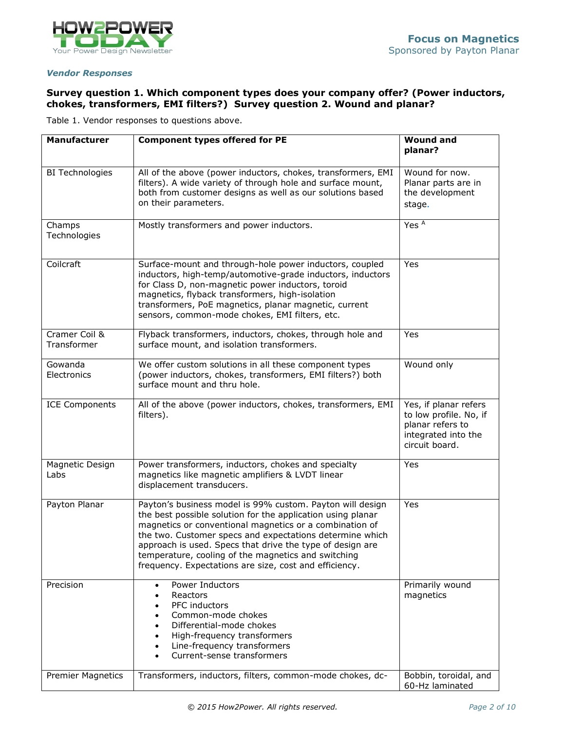

#### *Vendor Responses*

# **Survey question 1. Which component types does your company offer? (Power inductors, chokes, transformers, EMI filters?) Survey question 2. Wound and planar?**

Table 1. Vendor responses to questions above.

| <b>Manufacturer</b>          | <b>Component types offered for PE</b>                                                                                                                                                                                                                                                                                                                                                                                         | <b>Wound and</b><br>planar?                                                                                  |
|------------------------------|-------------------------------------------------------------------------------------------------------------------------------------------------------------------------------------------------------------------------------------------------------------------------------------------------------------------------------------------------------------------------------------------------------------------------------|--------------------------------------------------------------------------------------------------------------|
| <b>BI Technologies</b>       | All of the above (power inductors, chokes, transformers, EMI<br>filters). A wide variety of through hole and surface mount,<br>both from customer designs as well as our solutions based<br>on their parameters.                                                                                                                                                                                                              | Wound for now.<br>Planar parts are in<br>the development<br>stage.                                           |
| Champs<br>Technologies       | Mostly transformers and power inductors.                                                                                                                                                                                                                                                                                                                                                                                      | Yes <sup>A</sup>                                                                                             |
| Coilcraft                    | Surface-mount and through-hole power inductors, coupled<br>inductors, high-temp/automotive-grade inductors, inductors<br>for Class D, non-magnetic power inductors, toroid<br>magnetics, flyback transformers, high-isolation<br>transformers, PoE magnetics, planar magnetic, current<br>sensors, common-mode chokes, EMI filters, etc.                                                                                      | Yes                                                                                                          |
| Cramer Coil &<br>Transformer | Flyback transformers, inductors, chokes, through hole and<br>surface mount, and isolation transformers.                                                                                                                                                                                                                                                                                                                       | Yes                                                                                                          |
| Gowanda<br>Electronics       | We offer custom solutions in all these component types<br>(power inductors, chokes, transformers, EMI filters?) both<br>surface mount and thru hole.                                                                                                                                                                                                                                                                          | Wound only                                                                                                   |
| <b>ICE Components</b>        | All of the above (power inductors, chokes, transformers, EMI<br>filters).                                                                                                                                                                                                                                                                                                                                                     | Yes, if planar refers<br>to low profile. No, if<br>planar refers to<br>integrated into the<br>circuit board. |
| Magnetic Design<br>Labs      | Power transformers, inductors, chokes and specialty<br>magnetics like magnetic amplifiers & LVDT linear<br>displacement transducers.                                                                                                                                                                                                                                                                                          | Yes                                                                                                          |
| Payton Planar                | Payton's business model is 99% custom. Payton will design<br>the best possible solution for the application using planar<br>magnetics or conventional magnetics or a combination of<br>the two. Customer specs and expectations determine which<br>approach is used. Specs that drive the type of design are<br>temperature, cooling of the magnetics and switching<br>frequency. Expectations are size, cost and efficiency. | Yes                                                                                                          |
| Precision                    | Power Inductors<br>$\bullet$<br>Reactors<br>PFC inductors<br>Common-mode chokes<br>Differential-mode chokes<br>High-frequency transformers<br>Line-frequency transformers<br>Current-sense transformers                                                                                                                                                                                                                       | Primarily wound<br>magnetics                                                                                 |
| <b>Premier Magnetics</b>     | Transformers, inductors, filters, common-mode chokes, dc-                                                                                                                                                                                                                                                                                                                                                                     | Bobbin, toroidal, and<br>60-Hz laminated                                                                     |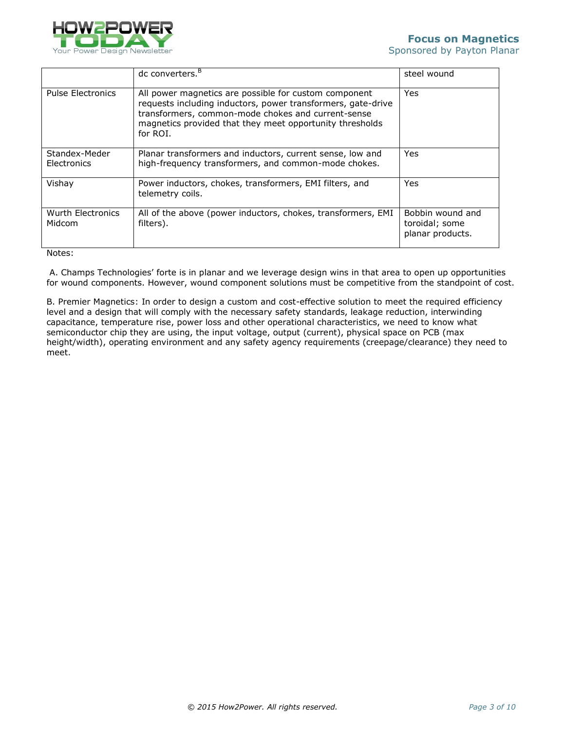

|                              | dc converters. <sup>B</sup>                                                                                                                                                                                                                         | steel wound                                            |
|------------------------------|-----------------------------------------------------------------------------------------------------------------------------------------------------------------------------------------------------------------------------------------------------|--------------------------------------------------------|
| <b>Pulse Electronics</b>     | All power magnetics are possible for custom component<br>requests including inductors, power transformers, gate-drive<br>transformers, common-mode chokes and current-sense<br>magnetics provided that they meet opportunity thresholds<br>for ROI. | Yes                                                    |
| Standex-Meder<br>Electronics | Planar transformers and inductors, current sense, low and<br>high-frequency transformers, and common-mode chokes.                                                                                                                                   | Yes                                                    |
| Vishay                       | Power inductors, chokes, transformers, EMI filters, and<br>telemetry coils.                                                                                                                                                                         | Yes                                                    |
| Wurth Electronics<br>Midcom  | All of the above (power inductors, chokes, transformers, EMI<br>filters).                                                                                                                                                                           | Bobbin wound and<br>toroidal; some<br>planar products. |

Notes:

A. Champs Technologies' forte is in planar and we leverage design wins in that area to open up opportunities for wound components. However, wound component solutions must be competitive from the standpoint of cost.

B. Premier Magnetics: In order to design a custom and cost-effective solution to meet the required efficiency level and a design that will comply with the necessary safety standards, leakage reduction, interwinding capacitance, temperature rise, power loss and other operational characteristics, we need to know what semiconductor chip they are using, the input voltage, output (current), physical space on PCB (max height/width), operating environment and any safety agency requirements (creepage/clearance) they need to meet.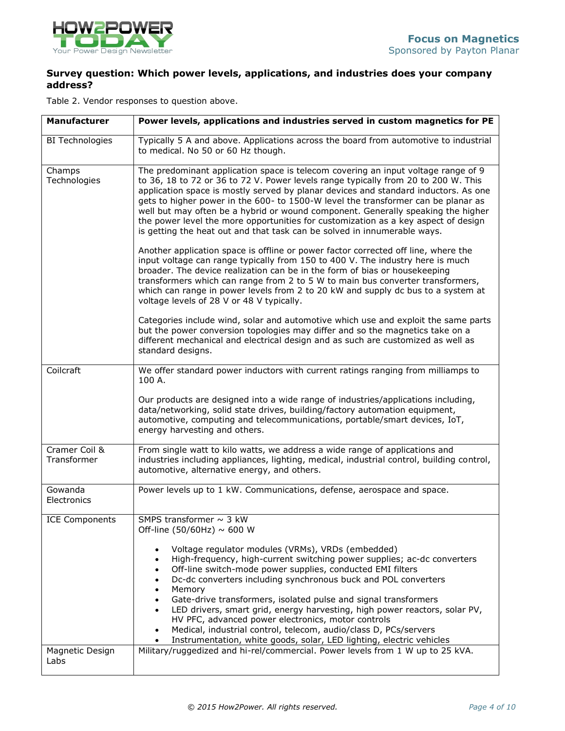

# **Survey question: Which power levels, applications, and industries does your company address?**

Table 2. Vendor responses to question above.

| Manufacturer                 | Power levels, applications and industries served in custom magnetics for PE                                                                                                                                                                                                                                                                                                                                                                                                                                                                                                                                                            |  |
|------------------------------|----------------------------------------------------------------------------------------------------------------------------------------------------------------------------------------------------------------------------------------------------------------------------------------------------------------------------------------------------------------------------------------------------------------------------------------------------------------------------------------------------------------------------------------------------------------------------------------------------------------------------------------|--|
| <b>BI Technologies</b>       | Typically 5 A and above. Applications across the board from automotive to industrial<br>to medical. No 50 or 60 Hz though.                                                                                                                                                                                                                                                                                                                                                                                                                                                                                                             |  |
| Champs<br>Technologies       | The predominant application space is telecom covering an input voltage range of 9<br>to 36, 18 to 72 or 36 to 72 V. Power levels range typically from 20 to 200 W. This<br>application space is mostly served by planar devices and standard inductors. As one<br>gets to higher power in the 600- to 1500-W level the transformer can be planar as<br>well but may often be a hybrid or wound component. Generally speaking the higher<br>the power level the more opportunities for customization as a key aspect of design<br>is getting the heat out and that task can be solved in innumerable ways.                              |  |
|                              | Another application space is offline or power factor corrected off line, where the<br>input voltage can range typically from 150 to 400 V. The industry here is much<br>broader. The device realization can be in the form of bias or housekeeping<br>transformers which can range from 2 to 5 W to main bus converter transformers,<br>which can range in power levels from 2 to 20 kW and supply dc bus to a system at<br>voltage levels of 28 V or 48 V typically.                                                                                                                                                                  |  |
|                              | Categories include wind, solar and automotive which use and exploit the same parts<br>but the power conversion topologies may differ and so the magnetics take on a<br>different mechanical and electrical design and as such are customized as well as<br>standard designs.                                                                                                                                                                                                                                                                                                                                                           |  |
| Coilcraft                    | We offer standard power inductors with current ratings ranging from milliamps to<br>100 A.                                                                                                                                                                                                                                                                                                                                                                                                                                                                                                                                             |  |
|                              | Our products are designed into a wide range of industries/applications including,<br>data/networking, solid state drives, building/factory automation equipment,<br>automotive, computing and telecommunications, portable/smart devices, IoT,<br>energy harvesting and others.                                                                                                                                                                                                                                                                                                                                                        |  |
| Cramer Coil &<br>Transformer | From single watt to kilo watts, we address a wide range of applications and<br>industries including appliances, lighting, medical, industrial control, building control,<br>automotive, alternative energy, and others.                                                                                                                                                                                                                                                                                                                                                                                                                |  |
| Gowanda<br>Electronics       | Power levels up to 1 kW. Communications, defense, aerospace and space.                                                                                                                                                                                                                                                                                                                                                                                                                                                                                                                                                                 |  |
| <b>ICE Components</b>        | SMPS transformer $\sim$ 3 kW<br>Off-line (50/60Hz) $\sim$ 600 W                                                                                                                                                                                                                                                                                                                                                                                                                                                                                                                                                                        |  |
|                              | Voltage regulator modules (VRMs), VRDs (embedded)<br>High-frequency, high-current switching power supplies; ac-dc converters<br>$\bullet$<br>Off-line switch-mode power supplies, conducted EMI filters<br>Dc-dc converters including synchronous buck and POL converters<br>Memory<br>Gate-drive transformers, isolated pulse and signal transformers<br>LED drivers, smart grid, energy harvesting, high power reactors, solar PV,<br>HV PFC, advanced power electronics, motor controls<br>Medical, industrial control, telecom, audio/class D, PCs/servers<br>Instrumentation, white goods, solar, LED lighting, electric vehicles |  |
| Magnetic Design<br>Labs      | Military/ruggedized and hi-rel/commercial. Power levels from 1 W up to 25 kVA.                                                                                                                                                                                                                                                                                                                                                                                                                                                                                                                                                         |  |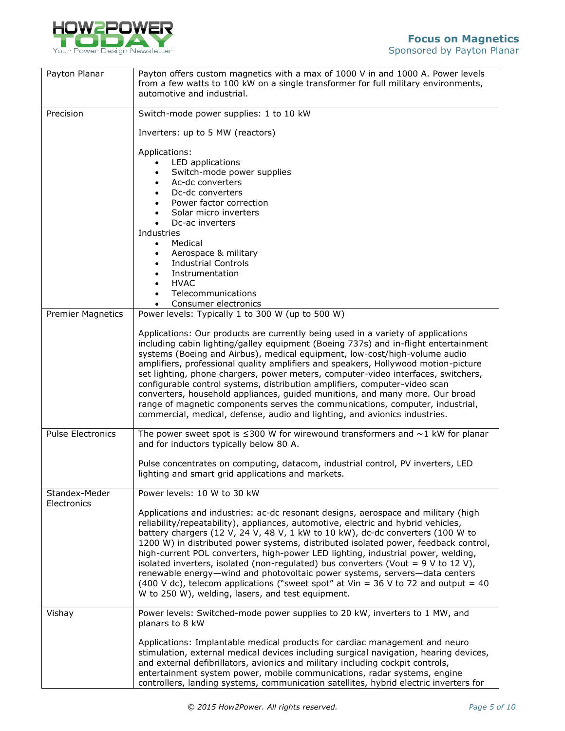

| Payton Planar            | Payton offers custom magnetics with a max of 1000 V in and 1000 A. Power levels<br>from a few watts to 100 kW on a single transformer for full military environments,<br>automotive and industrial.                                                                                                                                                                                                                                                                                                                                                                                                                                                                                                                                                           |  |
|--------------------------|---------------------------------------------------------------------------------------------------------------------------------------------------------------------------------------------------------------------------------------------------------------------------------------------------------------------------------------------------------------------------------------------------------------------------------------------------------------------------------------------------------------------------------------------------------------------------------------------------------------------------------------------------------------------------------------------------------------------------------------------------------------|--|
| Precision                | Switch-mode power supplies: 1 to 10 kW                                                                                                                                                                                                                                                                                                                                                                                                                                                                                                                                                                                                                                                                                                                        |  |
|                          | Inverters: up to 5 MW (reactors)                                                                                                                                                                                                                                                                                                                                                                                                                                                                                                                                                                                                                                                                                                                              |  |
|                          | Applications:<br>LED applications<br>Switch-mode power supplies<br>Ac-dc converters<br>Dc-dc converters<br>Power factor correction<br>Solar micro inverters<br>Dc-ac inverters<br>Industries<br>Medical<br>$\bullet$<br>Aerospace & military<br><b>Industrial Controls</b><br>Instrumentation<br><b>HVAC</b>                                                                                                                                                                                                                                                                                                                                                                                                                                                  |  |
|                          | Telecommunications<br>Consumer electronics                                                                                                                                                                                                                                                                                                                                                                                                                                                                                                                                                                                                                                                                                                                    |  |
| <b>Premier Magnetics</b> | Power levels: Typically 1 to 300 W (up to 500 W)                                                                                                                                                                                                                                                                                                                                                                                                                                                                                                                                                                                                                                                                                                              |  |
|                          | Applications: Our products are currently being used in a variety of applications<br>including cabin lighting/galley equipment (Boeing 737s) and in-flight entertainment<br>systems (Boeing and Airbus), medical equipment, low-cost/high-volume audio<br>amplifiers, professional quality amplifiers and speakers, Hollywood motion-picture<br>set lighting, phone chargers, power meters, computer-video interfaces, switchers,<br>configurable control systems, distribution amplifiers, computer-video scan<br>converters, household appliances, guided munitions, and many more. Our broad<br>range of magnetic components serves the communications, computer, industrial,<br>commercial, medical, defense, audio and lighting, and avionics industries. |  |
| <b>Pulse Electronics</b> | The power sweet spot is $\leq$ 300 W for wirewound transformers and $\sim$ 1 kW for planar<br>and for inductors typically below 80 A.                                                                                                                                                                                                                                                                                                                                                                                                                                                                                                                                                                                                                         |  |
|                          | Pulse concentrates on computing, datacom, industrial control, PV inverters, LED<br>lighting and smart grid applications and markets.                                                                                                                                                                                                                                                                                                                                                                                                                                                                                                                                                                                                                          |  |
| Standex-Meder            | Power levels: 10 W to 30 kW                                                                                                                                                                                                                                                                                                                                                                                                                                                                                                                                                                                                                                                                                                                                   |  |
| Electronics              | Applications and industries: ac-dc resonant designs, aerospace and military (high<br>reliability/repeatability), appliances, automotive, electric and hybrid vehicles,<br>battery chargers (12 V, 24 V, 48 V, 1 kW to 10 kW), dc-dc converters (100 W to<br>1200 W) in distributed power systems, distributed isolated power, feedback control,<br>high-current POL converters, high-power LED lighting, industrial power, welding,<br>isolated inverters, isolated (non-regulated) bus converters (Vout = $9$ V to 12 V),<br>renewable energy-wind and photovoltaic power systems, servers-data centers<br>(400 V dc), telecom applications ("sweet spot" at Vin = 36 V to 72 and output = 40<br>W to 250 W), welding, lasers, and test equipment.           |  |
| Vishay                   | Power levels: Switched-mode power supplies to 20 kW, inverters to 1 MW, and<br>planars to 8 kW                                                                                                                                                                                                                                                                                                                                                                                                                                                                                                                                                                                                                                                                |  |
|                          | Applications: Implantable medical products for cardiac management and neuro<br>stimulation, external medical devices including surgical navigation, hearing devices,<br>and external defibrillators, avionics and military including cockpit controls,<br>entertainment system power, mobile communications, radar systems, engine<br>controllers, landing systems, communication satellites, hybrid electric inverters for                                                                                                                                                                                                                                                                                                                                   |  |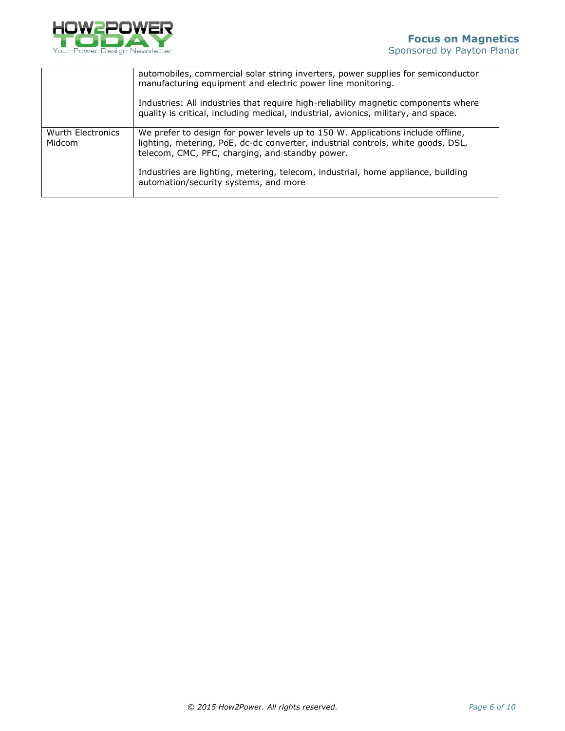

|                             | automobiles, commercial solar string inverters, power supplies for semiconductor<br>manufacturing equipment and electric power line monitoring.                                                                        |
|-----------------------------|------------------------------------------------------------------------------------------------------------------------------------------------------------------------------------------------------------------------|
|                             | Industries: All industries that require high-reliability magnetic components where<br>quality is critical, including medical, industrial, avionics, military, and space.                                               |
| Wurth Electronics<br>Midcom | We prefer to design for power levels up to 150 W. Applications include offline,<br>lighting, metering, PoE, dc-dc converter, industrial controls, white goods, DSL,<br>telecom, CMC, PFC, charging, and standby power. |
|                             | Industries are lighting, metering, telecom, industrial, home appliance, building<br>automation/security systems, and more                                                                                              |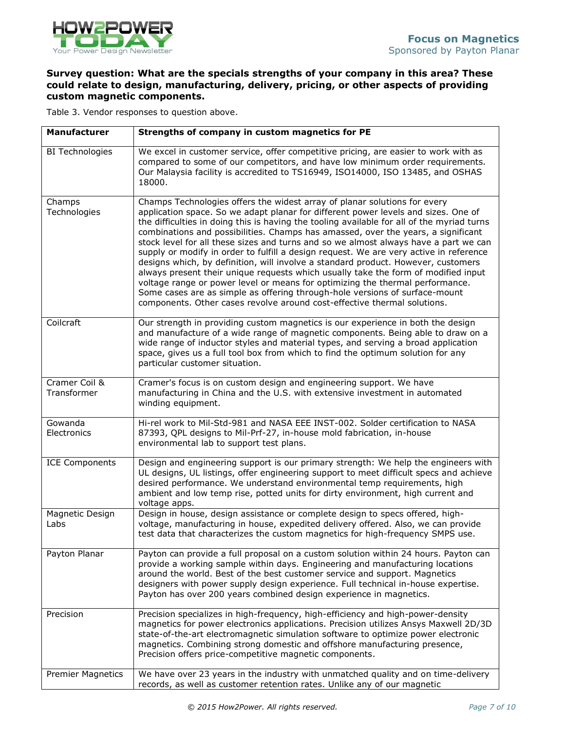

# **Survey question: What are the specials strengths of your company in this area? These could relate to design, manufacturing, delivery, pricing, or other aspects of providing custom magnetic components.**

Table 3. Vendor responses to question above.

| Manufacturer                 | Strengths of company in custom magnetics for PE                                                                                                                                                                                                                                                                                                                                                                                                                                                                                                                                                                                                                                                                                                                                                                                                                                                                                                             |
|------------------------------|-------------------------------------------------------------------------------------------------------------------------------------------------------------------------------------------------------------------------------------------------------------------------------------------------------------------------------------------------------------------------------------------------------------------------------------------------------------------------------------------------------------------------------------------------------------------------------------------------------------------------------------------------------------------------------------------------------------------------------------------------------------------------------------------------------------------------------------------------------------------------------------------------------------------------------------------------------------|
| <b>BI Technologies</b>       | We excel in customer service, offer competitive pricing, are easier to work with as<br>compared to some of our competitors, and have low minimum order requirements.<br>Our Malaysia facility is accredited to TS16949, ISO14000, ISO 13485, and OSHAS<br>18000.                                                                                                                                                                                                                                                                                                                                                                                                                                                                                                                                                                                                                                                                                            |
| Champs<br>Technologies       | Champs Technologies offers the widest array of planar solutions for every<br>application space. So we adapt planar for different power levels and sizes. One of<br>the difficulties in doing this is having the tooling available for all of the myriad turns<br>combinations and possibilities. Champs has amassed, over the years, a significant<br>stock level for all these sizes and turns and so we almost always have a part we can<br>supply or modify in order to fulfill a design request. We are very active in reference<br>designs which, by definition, will involve a standard product. However, customers<br>always present their unique requests which usually take the form of modified input<br>voltage range or power level or means for optimizing the thermal performance.<br>Some cases are as simple as offering through-hole versions of surface-mount<br>components. Other cases revolve around cost-effective thermal solutions. |
| Coilcraft                    | Our strength in providing custom magnetics is our experience in both the design<br>and manufacture of a wide range of magnetic components. Being able to draw on a<br>wide range of inductor styles and material types, and serving a broad application<br>space, gives us a full tool box from which to find the optimum solution for any<br>particular customer situation.                                                                                                                                                                                                                                                                                                                                                                                                                                                                                                                                                                                |
| Cramer Coil &<br>Transformer | Cramer's focus is on custom design and engineering support. We have<br>manufacturing in China and the U.S. with extensive investment in automated<br>winding equipment.                                                                                                                                                                                                                                                                                                                                                                                                                                                                                                                                                                                                                                                                                                                                                                                     |
| Gowanda<br>Electronics       | Hi-rel work to Mil-Std-981 and NASA EEE INST-002. Solder certification to NASA<br>87393, QPL designs to Mil-Prf-27, in-house mold fabrication, in-house<br>environmental lab to support test plans.                                                                                                                                                                                                                                                                                                                                                                                                                                                                                                                                                                                                                                                                                                                                                         |
| <b>ICE Components</b>        | Design and engineering support is our primary strength: We help the engineers with<br>UL designs, UL listings, offer engineering support to meet difficult specs and achieve<br>desired performance. We understand environmental temp requirements, high<br>ambient and low temp rise, potted units for dirty environment, high current and<br>voltage apps.                                                                                                                                                                                                                                                                                                                                                                                                                                                                                                                                                                                                |
| Magnetic Design<br>Labs      | Design in house, design assistance or complete design to specs offered, high-<br>voltage, manufacturing in house, expedited delivery offered. Also, we can provide<br>test data that characterizes the custom magnetics for high-frequency SMPS use.                                                                                                                                                                                                                                                                                                                                                                                                                                                                                                                                                                                                                                                                                                        |
| Payton Planar                | Payton can provide a full proposal on a custom solution within 24 hours. Payton can<br>provide a working sample within days. Engineering and manufacturing locations<br>around the world. Best of the best customer service and support. Magnetics<br>designers with power supply design experience. Full technical in-house expertise.<br>Payton has over 200 years combined design experience in magnetics.                                                                                                                                                                                                                                                                                                                                                                                                                                                                                                                                               |
| Precision                    | Precision specializes in high-frequency, high-efficiency and high-power-density<br>magnetics for power electronics applications. Precision utilizes Ansys Maxwell 2D/3D<br>state-of-the-art electromagnetic simulation software to optimize power electronic<br>magnetics. Combining strong domestic and offshore manufacturing presence,<br>Precision offers price-competitive magnetic components.                                                                                                                                                                                                                                                                                                                                                                                                                                                                                                                                                        |
| <b>Premier Magnetics</b>     | We have over 23 years in the industry with unmatched quality and on time-delivery<br>records, as well as customer retention rates. Unlike any of our magnetic                                                                                                                                                                                                                                                                                                                                                                                                                                                                                                                                                                                                                                                                                                                                                                                               |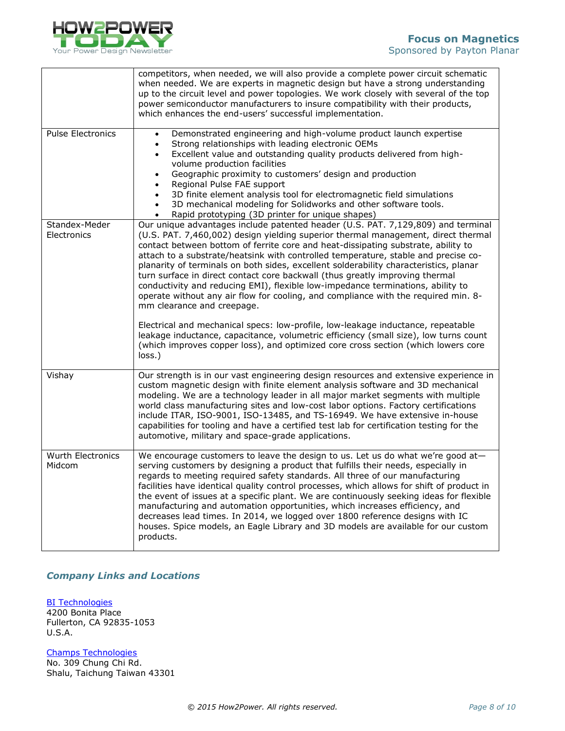

|                                    | competitors, when needed, we will also provide a complete power circuit schematic<br>when needed. We are experts in magnetic design but have a strong understanding<br>up to the circuit level and power topologies. We work closely with several of the top<br>power semiconductor manufacturers to insure compatibility with their products,<br>which enhances the end-users' successful implementation.                                                                                                                                                                                                                                                                                                                                                                                                                                                                                                                                                                                                  |
|------------------------------------|-------------------------------------------------------------------------------------------------------------------------------------------------------------------------------------------------------------------------------------------------------------------------------------------------------------------------------------------------------------------------------------------------------------------------------------------------------------------------------------------------------------------------------------------------------------------------------------------------------------------------------------------------------------------------------------------------------------------------------------------------------------------------------------------------------------------------------------------------------------------------------------------------------------------------------------------------------------------------------------------------------------|
| <b>Pulse Electronics</b>           | Demonstrated engineering and high-volume product launch expertise<br>Strong relationships with leading electronic OEMs<br>$\bullet$<br>Excellent value and outstanding quality products delivered from high-<br>volume production facilities<br>Geographic proximity to customers' design and production<br>Regional Pulse FAE support<br>3D finite element analysis tool for electromagnetic field simulations<br>$\bullet$<br>3D mechanical modeling for Solidworks and other software tools.<br>Rapid prototyping (3D printer for unique shapes)                                                                                                                                                                                                                                                                                                                                                                                                                                                         |
| Standex-Meder<br>Electronics       | Our unique advantages include patented header (U.S. PAT. 7,129,809) and terminal<br>(U.S. PAT. 7,460,002) design yielding superior thermal management, direct thermal<br>contact between bottom of ferrite core and heat-dissipating substrate, ability to<br>attach to a substrate/heatsink with controlled temperature, stable and precise co-<br>planarity of terminals on both sides, excellent solderability characteristics, planar<br>turn surface in direct contact core backwall (thus greatly improving thermal<br>conductivity and reducing EMI), flexible low-impedance terminations, ability to<br>operate without any air flow for cooling, and compliance with the required min. 8-<br>mm clearance and creepage.<br>Electrical and mechanical specs: low-profile, low-leakage inductance, repeatable<br>leakage inductance, capacitance, volumetric efficiency (small size), low turns count<br>(which improves copper loss), and optimized core cross section (which lowers core<br>loss.) |
| Vishay                             | Our strength is in our vast engineering design resources and extensive experience in<br>custom magnetic design with finite element analysis software and 3D mechanical<br>modeling. We are a technology leader in all major market segments with multiple<br>world class manufacturing sites and low-cost labor options. Factory certifications<br>include ITAR, ISO-9001, ISO-13485, and TS-16949. We have extensive in-house<br>capabilities for tooling and have a certified test lab for certification testing for the<br>automotive, military and space-grade applications.                                                                                                                                                                                                                                                                                                                                                                                                                            |
| <b>Wurth Electronics</b><br>Midcom | We encourage customers to leave the design to us. Let us do what we're good at-<br>serving customers by designing a product that fulfills their needs, especially in<br>regards to meeting required safety standards. All three of our manufacturing<br>facilities have identical quality control processes, which allows for shift of product in<br>the event of issues at a specific plant. We are continuously seeking ideas for flexible<br>manufacturing and automation opportunities, which increases efficiency, and<br>decreases lead times. In 2014, we logged over 1800 reference designs with IC<br>houses. Spice models, an Eagle Library and 3D models are available for our custom<br>products.                                                                                                                                                                                                                                                                                               |

## *Company Links and Locations*

[BI Technologies](http://www.bitechnologies.com/) 4200 Bonita Place Fullerton, CA 92835-1053 U.S.A.

[Champs Technologies](http://www.champs-tech.com/) No. 309 Chung Chi Rd. Shalu, Taichung Taiwan 43301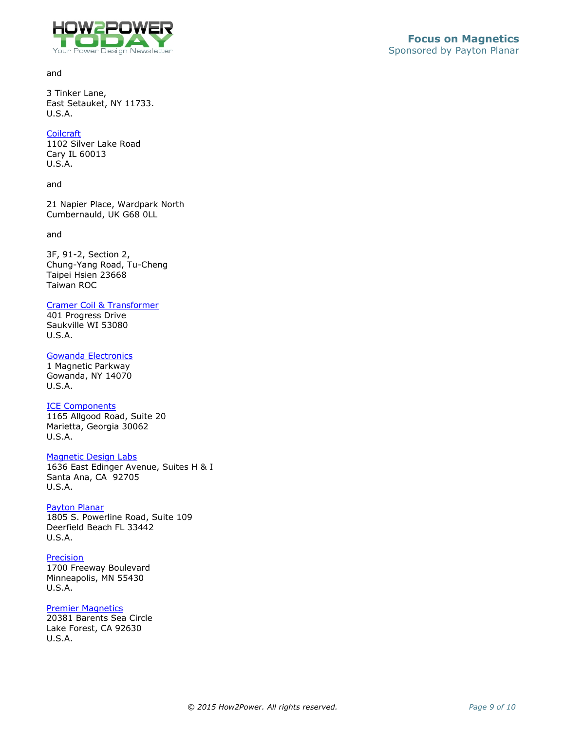

and

3 Tinker Lane, East Setauket, NY 11733. U.S.A.

#### **[Coilcraft](http://www.coilcraft.com/)**

1102 Silver Lake Road Cary IL 60013 U.S.A.

and

21 Napier Place, Wardpark North Cumbernauld, UK G68 0LL

and

3F, 91-2, Section 2, Chung-Yang Road, Tu-Cheng Taipei Hsien 23668 Taiwan ROC

### [Cramer Coil & Transformer](http://www.cramerco.com/)

401 Progress Drive Saukville WI 53080 U.S.A.

### [Gowanda Electronics](http://www.gowanda.com/)

1 Magnetic Parkway Gowanda, NY 14070 U.S.A.

## [ICE Components](http://www.icecomponents.com/)

1165 Allgood Road, Suite 20 Marietta, Georgia 30062 U.S.A.

## [Magnetic Design Labs](http://www.magneticdesign.com/)

1636 East Edinger Avenue, Suites H & I Santa Ana, CA 92705 U.S.A.

#### [Payton Planar](http://www.paytongroup.com/)

1805 S. Powerline Road, Suite 109 Deerfield Beach FL 33442 U.S.A.

### [Precision](http://www.precision-inc.com/)

1700 Freeway Boulevard Minneapolis, MN 55430 U.S.A.

#### **[Premier Magnetics](http://www.premiermag.com/)**

20381 Barents Sea Circle Lake Forest, CA 92630 U.S.A.